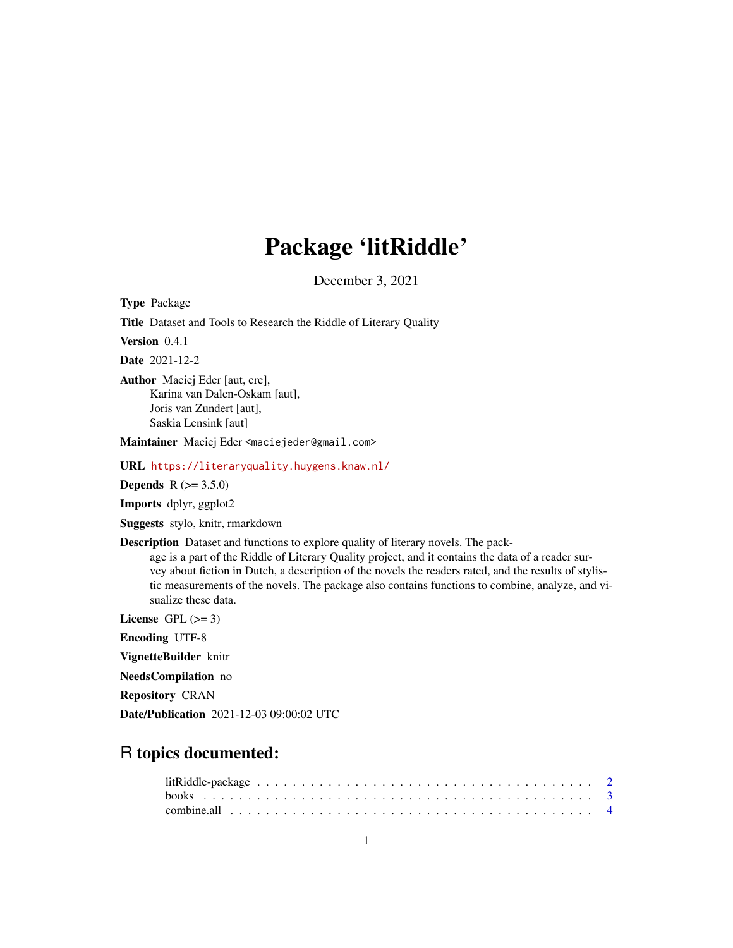## Package 'litRiddle'

December 3, 2021

Type Package

Title Dataset and Tools to Research the Riddle of Literary Quality

Version 0.4.1

Date 2021-12-2

Author Maciej Eder [aut, cre], Karina van Dalen-Oskam [aut], Joris van Zundert [aut], Saskia Lensink [aut]

Maintainer Maciej Eder <maciejeder@gmail.com>

URL <https://literaryquality.huygens.knaw.nl/>

**Depends** R  $(>= 3.5.0)$ 

Imports dplyr, ggplot2

Suggests stylo, knitr, rmarkdown

Description Dataset and functions to explore quality of literary novels. The pack-

age is a part of the Riddle of Literary Quality project, and it contains the data of a reader survey about fiction in Dutch, a description of the novels the readers rated, and the results of stylistic measurements of the novels. The package also contains functions to combine, analyze, and visualize these data.

License GPL  $(>= 3)$ 

Encoding UTF-8

VignetteBuilder knitr

NeedsCompilation no

Repository CRAN

Date/Publication 2021-12-03 09:00:02 UTC

### R topics documented: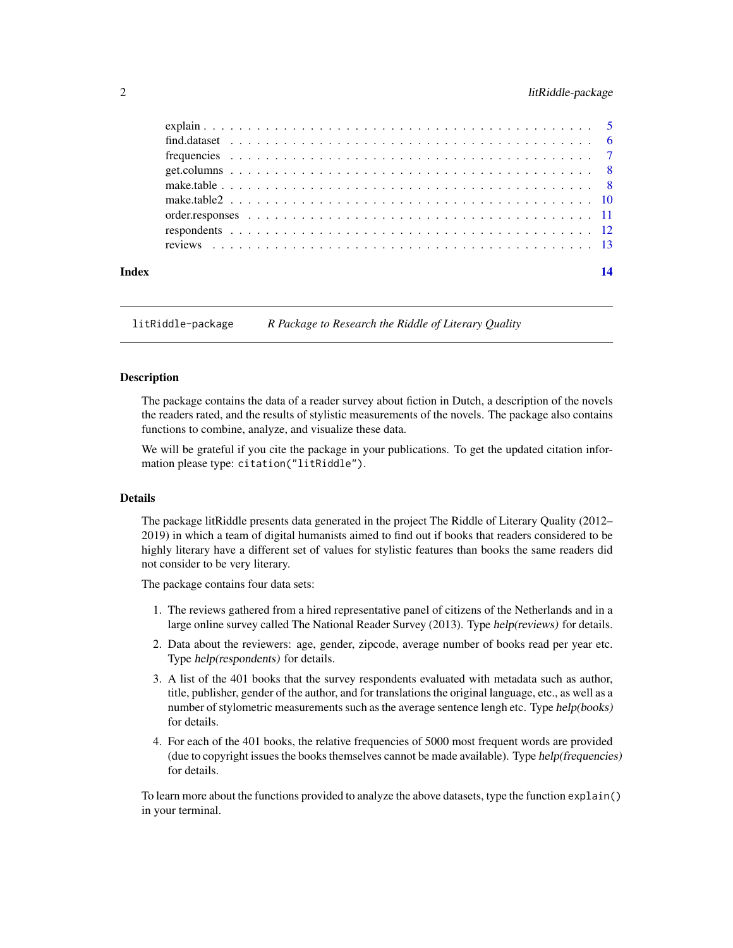#### <span id="page-1-0"></span>2 litRiddle-package

| Index | 14 |
|-------|----|
|       |    |
|       |    |
|       |    |
|       |    |
|       |    |
|       |    |
|       |    |
|       |    |
|       |    |

litRiddle-package *R Package to Research the Riddle of Literary Quality*

#### Description

The package contains the data of a reader survey about fiction in Dutch, a description of the novels the readers rated, and the results of stylistic measurements of the novels. The package also contains functions to combine, analyze, and visualize these data.

We will be grateful if you cite the package in your publications. To get the updated citation information please type: citation("litRiddle").

#### Details

The package litRiddle presents data generated in the project The Riddle of Literary Quality (2012– 2019) in which a team of digital humanists aimed to find out if books that readers considered to be highly literary have a different set of values for stylistic features than books the same readers did not consider to be very literary.

The package contains four data sets:

- 1. The reviews gathered from a hired representative panel of citizens of the Netherlands and in a large online survey called The National Reader Survey (2013). Type help(reviews) for details.
- 2. Data about the reviewers: age, gender, zipcode, average number of books read per year etc. Type help(respondents) for details.
- 3. A list of the 401 books that the survey respondents evaluated with metadata such as author, title, publisher, gender of the author, and for translations the original language, etc., as well as a number of stylometric measurements such as the average sentence lengh etc. Type help(books) for details.
- 4. For each of the 401 books, the relative frequencies of 5000 most frequent words are provided (due to copyright issues the books themselves cannot be made available). Type help(frequencies) for details.

To learn more about the functions provided to analyze the above datasets, type the function explain() in your terminal.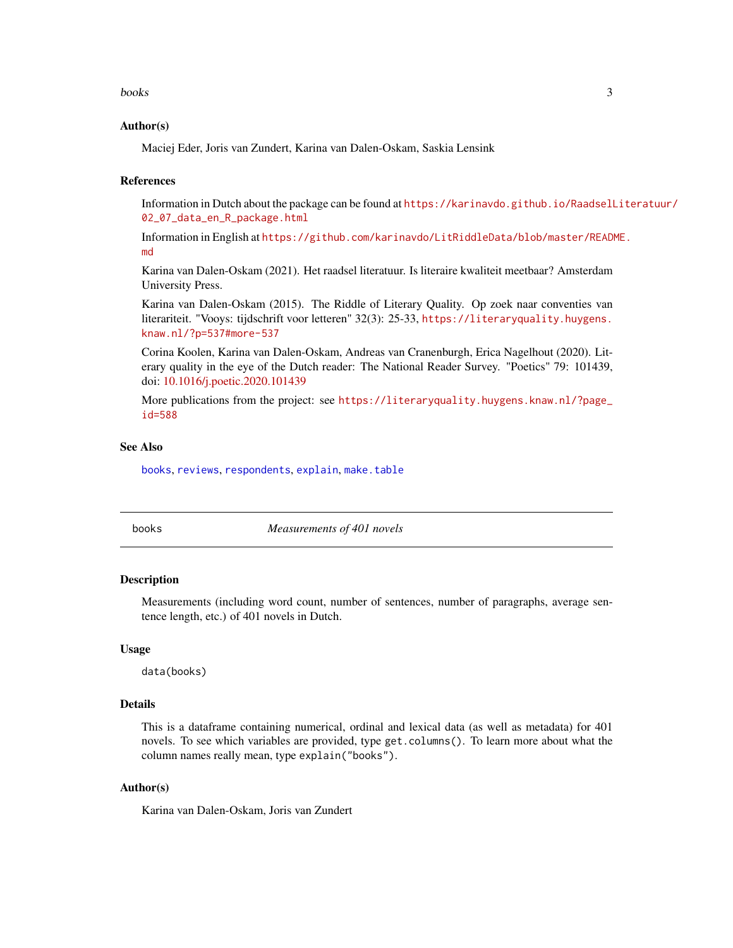<span id="page-2-0"></span>books 3

#### Author(s)

Maciej Eder, Joris van Zundert, Karina van Dalen-Oskam, Saskia Lensink

#### References

Information in Dutch about the package can be found at [https://karinavdo.github.io/RaadselL](https://karinavdo.github.io/RaadselLiteratuur/02_07_data_en_R_package.html)iteratuur/ [02\\_07\\_data\\_en\\_R\\_package.html](https://karinavdo.github.io/RaadselLiteratuur/02_07_data_en_R_package.html)

Information in English at [https://github.com/karinavdo/LitRiddleData/blob/master/READM](https://github.com/karinavdo/LitRiddleData/blob/master/README.md)E. [md](https://github.com/karinavdo/LitRiddleData/blob/master/README.md)

Karina van Dalen-Oskam (2021). Het raadsel literatuur. Is literaire kwaliteit meetbaar? Amsterdam University Press.

Karina van Dalen-Oskam (2015). The Riddle of Literary Quality. Op zoek naar conventies van literariteit. "Vooys: tijdschrift voor letteren" 32(3): 25-33, [https://literaryquality.huygens.](https://literaryquality.huygens.knaw.nl/?p=537#more-537) [knaw.nl/?p=537#more-537](https://literaryquality.huygens.knaw.nl/?p=537#more-537)

Corina Koolen, Karina van Dalen-Oskam, Andreas van Cranenburgh, Erica Nagelhout (2020). Literary quality in the eye of the Dutch reader: The National Reader Survey. "Poetics" 79: 101439, doi: [10.1016/j.poetic.2020.101439](https://doi.org/10.1016/j.poetic.2020.101439)

More publications from the project: see [https://literaryquality.huygens.knaw.nl/?page\\_](https://literaryquality.huygens.knaw.nl/?page_id=588) [id=588](https://literaryquality.huygens.knaw.nl/?page_id=588)

#### See Also

[books](#page-2-1), [reviews](#page-12-1), [respondents](#page-11-1), [explain](#page-4-1), [make.table](#page-7-1)

<span id="page-2-1"></span>

books *Measurements of 401 novels*

#### Description

Measurements (including word count, number of sentences, number of paragraphs, average sentence length, etc.) of 401 novels in Dutch.

#### Usage

data(books)

#### Details

This is a dataframe containing numerical, ordinal and lexical data (as well as metadata) for 401 novels. To see which variables are provided, type get.columns(). To learn more about what the column names really mean, type explain("books").

#### Author(s)

Karina van Dalen-Oskam, Joris van Zundert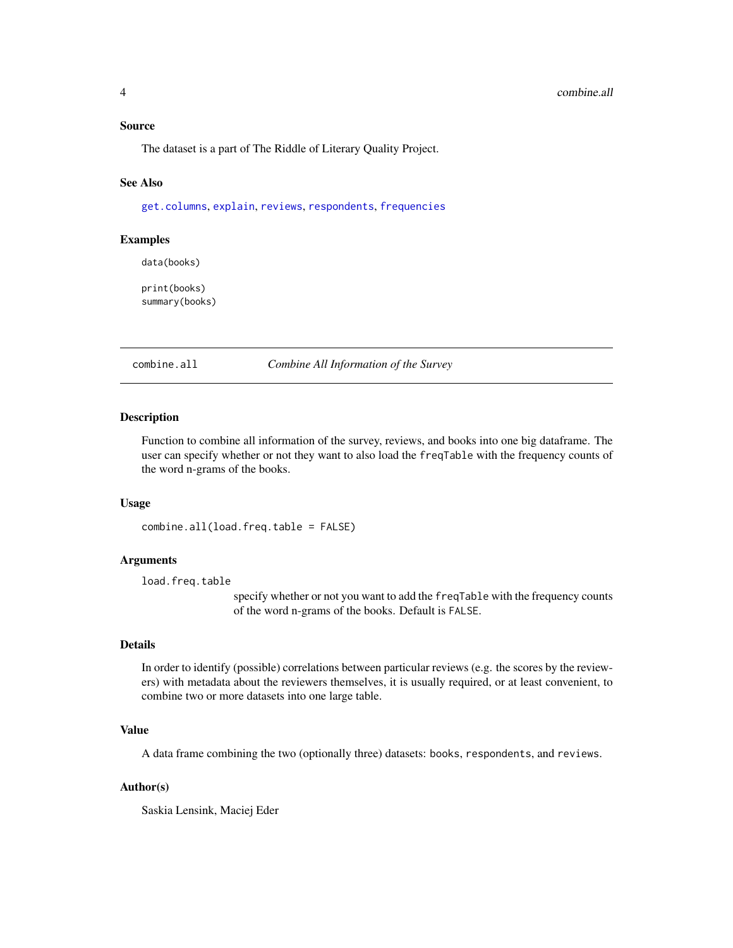#### <span id="page-3-0"></span>Source

The dataset is a part of The Riddle of Literary Quality Project.

#### See Also

[get.columns](#page-7-2), [explain](#page-4-1), [reviews](#page-12-1), [respondents](#page-11-1), [frequencies](#page-6-1)

#### Examples

data(books)

print(books) summary(books)

combine.all *Combine All Information of the Survey*

#### Description

Function to combine all information of the survey, reviews, and books into one big dataframe. The user can specify whether or not they want to also load the freqTable with the frequency counts of the word n-grams of the books.

#### Usage

```
combine.all(load.freq.table = FALSE)
```
#### Arguments

load.freq.table

specify whether or not you want to add the freqTable with the frequency counts of the word n-grams of the books. Default is FALSE.

#### Details

In order to identify (possible) correlations between particular reviews (e.g. the scores by the reviewers) with metadata about the reviewers themselves, it is usually required, or at least convenient, to combine two or more datasets into one large table.

#### Value

A data frame combining the two (optionally three) datasets: books, respondents, and reviews.

#### Author(s)

Saskia Lensink, Maciej Eder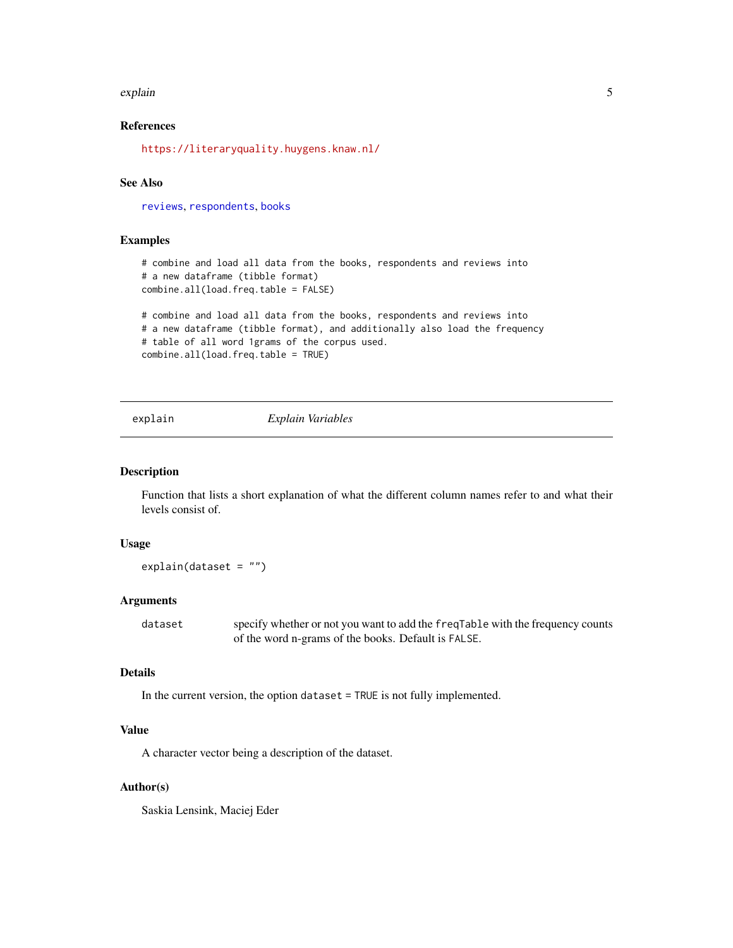#### <span id="page-4-0"></span>explain 5

#### References

<https://literaryquality.huygens.knaw.nl/>

#### See Also

[reviews](#page-12-1), [respondents](#page-11-1), [books](#page-2-1)

#### Examples

```
# combine and load all data from the books, respondents and reviews into
# a new dataframe (tibble format)
combine.all(load.freq.table = FALSE)
```

```
# combine and load all data from the books, respondents and reviews into
# a new dataframe (tibble format), and additionally also load the frequency
# table of all word 1grams of the corpus used.
combine.all(load.freq.table = TRUE)
```
#### <span id="page-4-1"></span>explain *Explain Variables*

#### Description

Function that lists a short explanation of what the different column names refer to and what their levels consist of.

#### Usage

explain(dataset = "")

#### Arguments

dataset specify whether or not you want to add the freqTable with the frequency counts of the word n-grams of the books. Default is FALSE.

#### Details

In the current version, the option dataset = TRUE is not fully implemented.

#### Value

A character vector being a description of the dataset.

#### Author(s)

Saskia Lensink, Maciej Eder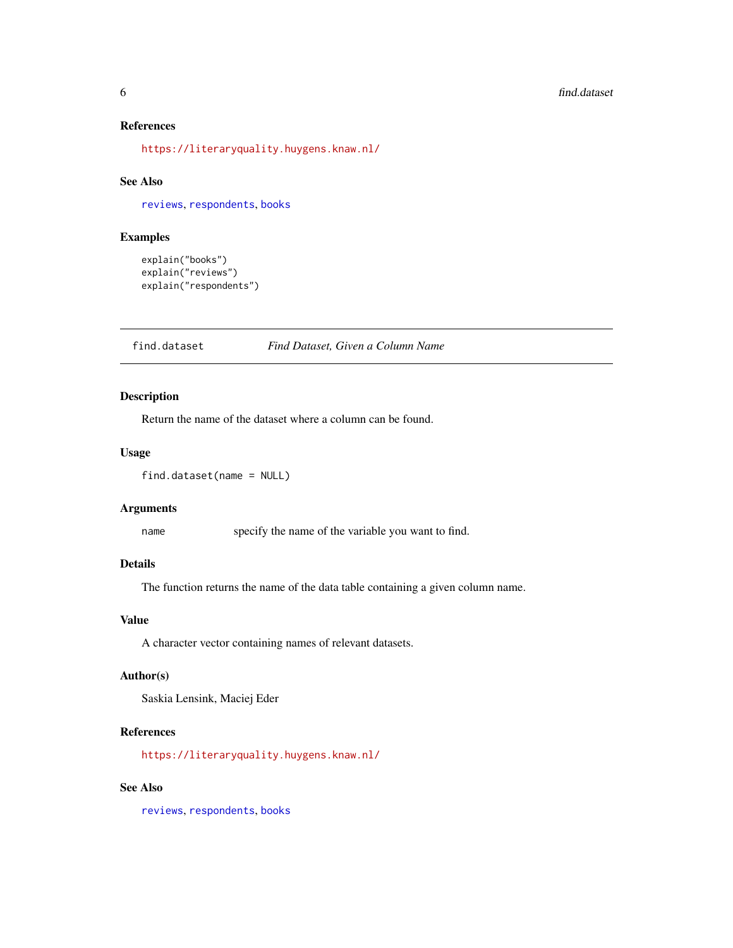#### <span id="page-5-0"></span>References

<https://literaryquality.huygens.knaw.nl/>

#### See Also

[reviews](#page-12-1), [respondents](#page-11-1), [books](#page-2-1)

#### Examples

```
explain("books")
explain("reviews")
explain("respondents")
```
find.dataset *Find Dataset, Given a Column Name*

#### Description

Return the name of the dataset where a column can be found.

#### Usage

```
find.dataset(name = NULL)
```
#### Arguments

name specify the name of the variable you want to find.

#### Details

The function returns the name of the data table containing a given column name.

#### Value

A character vector containing names of relevant datasets.

#### Author(s)

Saskia Lensink, Maciej Eder

#### References

<https://literaryquality.huygens.knaw.nl/>

#### See Also

[reviews](#page-12-1), [respondents](#page-11-1), [books](#page-2-1)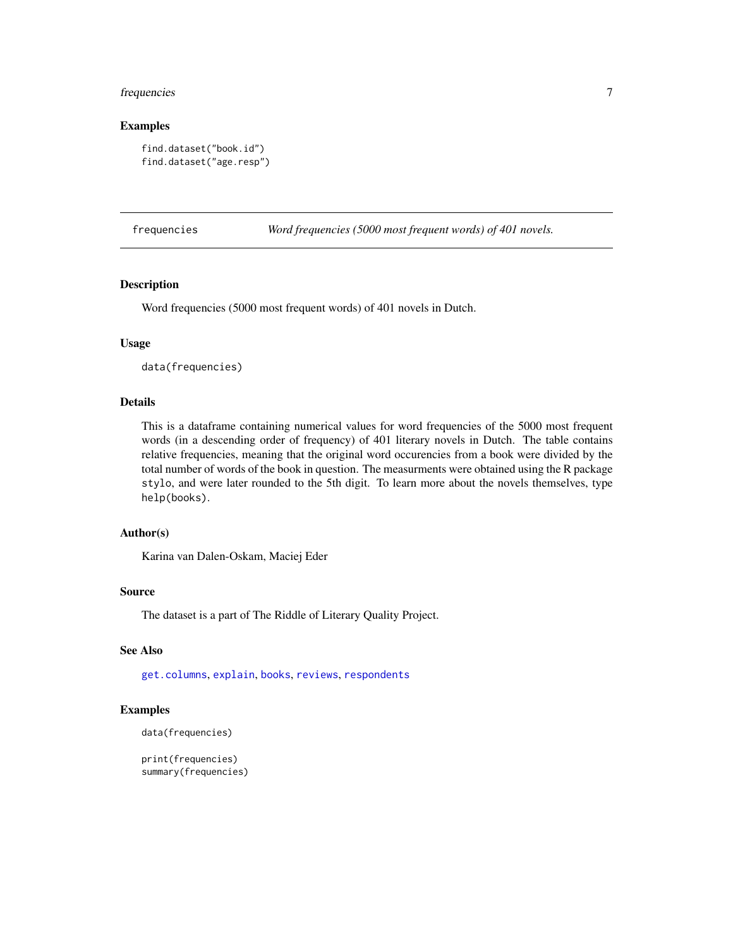#### <span id="page-6-0"></span>frequencies 7

#### Examples

```
find.dataset("book.id")
find.dataset("age.resp")
```
<span id="page-6-1"></span>frequencies *Word frequencies (5000 most frequent words) of 401 novels.*

#### Description

Word frequencies (5000 most frequent words) of 401 novels in Dutch.

#### Usage

data(frequencies)

#### Details

This is a dataframe containing numerical values for word frequencies of the 5000 most frequent words (in a descending order of frequency) of 401 literary novels in Dutch. The table contains relative frequencies, meaning that the original word occurencies from a book were divided by the total number of words of the book in question. The measurments were obtained using the R package stylo, and were later rounded to the 5th digit. To learn more about the novels themselves, type help(books).

#### Author(s)

Karina van Dalen-Oskam, Maciej Eder

#### Source

The dataset is a part of The Riddle of Literary Quality Project.

#### See Also

[get.columns](#page-7-2), [explain](#page-4-1), [books](#page-2-1), [reviews](#page-12-1), [respondents](#page-11-1)

#### Examples

```
data(frequencies)
```
print(frequencies) summary(frequencies)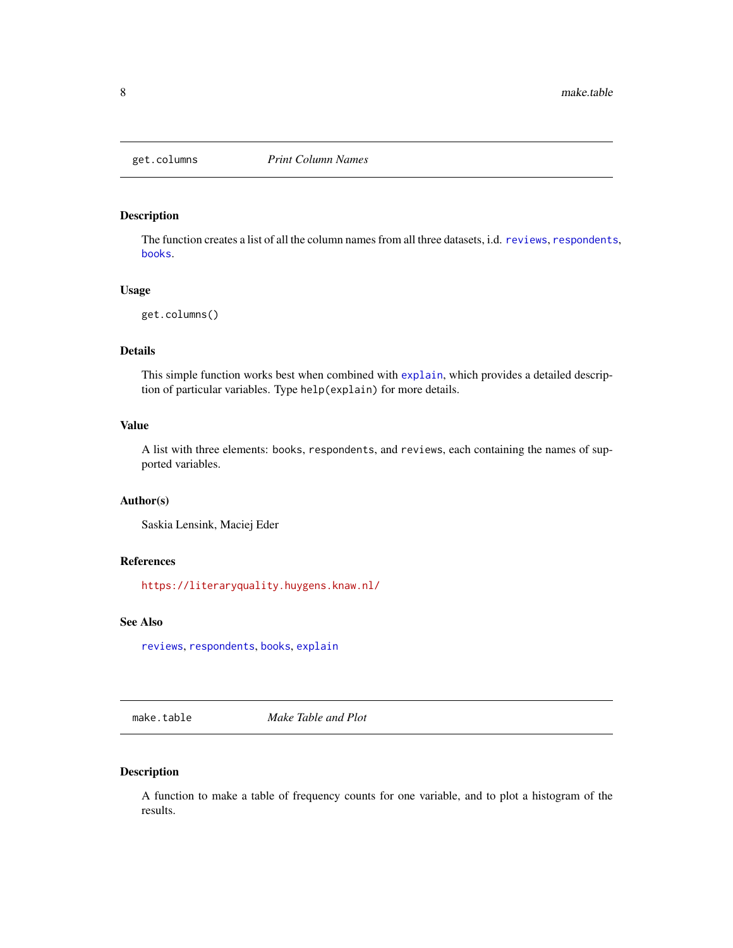<span id="page-7-2"></span><span id="page-7-0"></span>

#### Description

The function creates a list of all the column names from all three datasets, i.d. [reviews](#page-12-1), [respondents](#page-11-1), [books](#page-2-1).

#### Usage

```
get.columns()
```
#### Details

This simple function works best when combined with [explain](#page-4-1), which provides a detailed description of particular variables. Type help(explain) for more details.

#### Value

A list with three elements: books, respondents, and reviews, each containing the names of supported variables.

#### Author(s)

Saskia Lensink, Maciej Eder

#### References

<https://literaryquality.huygens.knaw.nl/>

#### See Also

[reviews](#page-12-1), [respondents](#page-11-1), [books](#page-2-1), [explain](#page-4-1)

<span id="page-7-1"></span>make.table *Make Table and Plot*

#### Description

A function to make a table of frequency counts for one variable, and to plot a histogram of the results.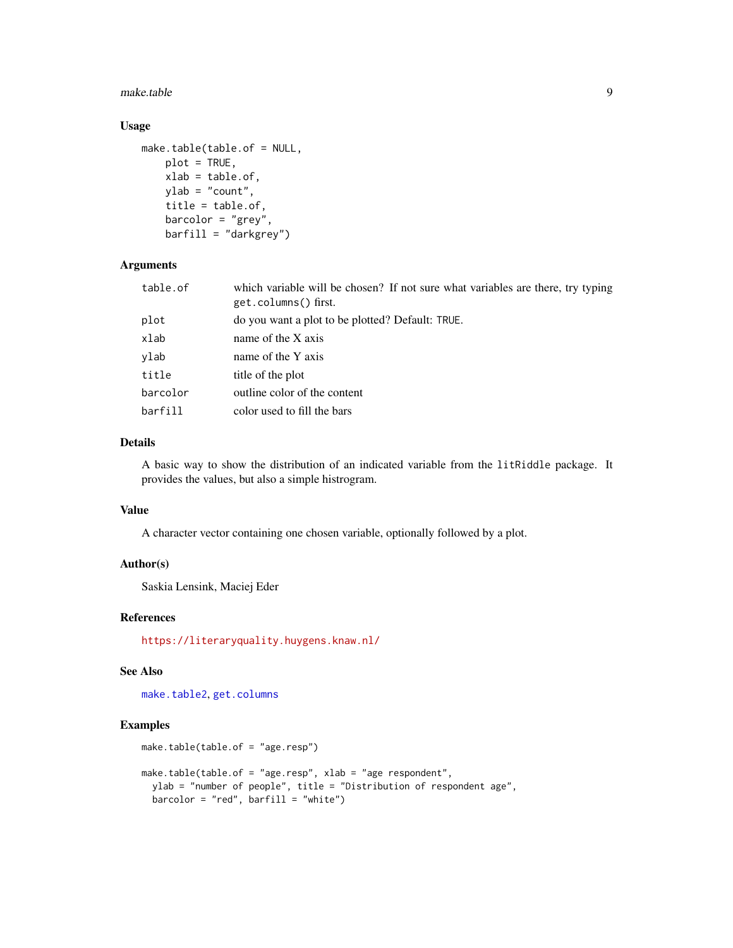#### <span id="page-8-0"></span>make.table 9

#### Usage

```
make.table(table.of = NULL,
   plot = TRUE,
   xlab = table.of,
   ylab = "count",
   title = table.of,
   barcolor = "grey",barfill = "darkgrey")
```
#### Arguments

| table.of | which variable will be chosen? If not sure what variables are there, try typing<br>get.columns() first. |  |
|----------|---------------------------------------------------------------------------------------------------------|--|
| plot     | do you want a plot to be plotted? Default: TRUE.                                                        |  |
| xlab     | name of the X axis                                                                                      |  |
| ylab     | name of the Y axis                                                                                      |  |
| title    | title of the plot                                                                                       |  |
| barcolor | outline color of the content                                                                            |  |
| barfill  | color used to fill the bars                                                                             |  |

#### Details

A basic way to show the distribution of an indicated variable from the litRiddle package. It provides the values, but also a simple histrogram.

#### Value

A character vector containing one chosen variable, optionally followed by a plot.

#### Author(s)

Saskia Lensink, Maciej Eder

#### References

<https://literaryquality.huygens.knaw.nl/>

#### See Also

[make.table2](#page-9-1), [get.columns](#page-7-2)

#### Examples

```
make.table(table.of = "age.resp")
```

```
make.table(table.of = "age.resp", xlab = "age respondent",
  ylab = "number of people", title = "Distribution of respondent age",
  barcolor = "red", barfill = "white")
```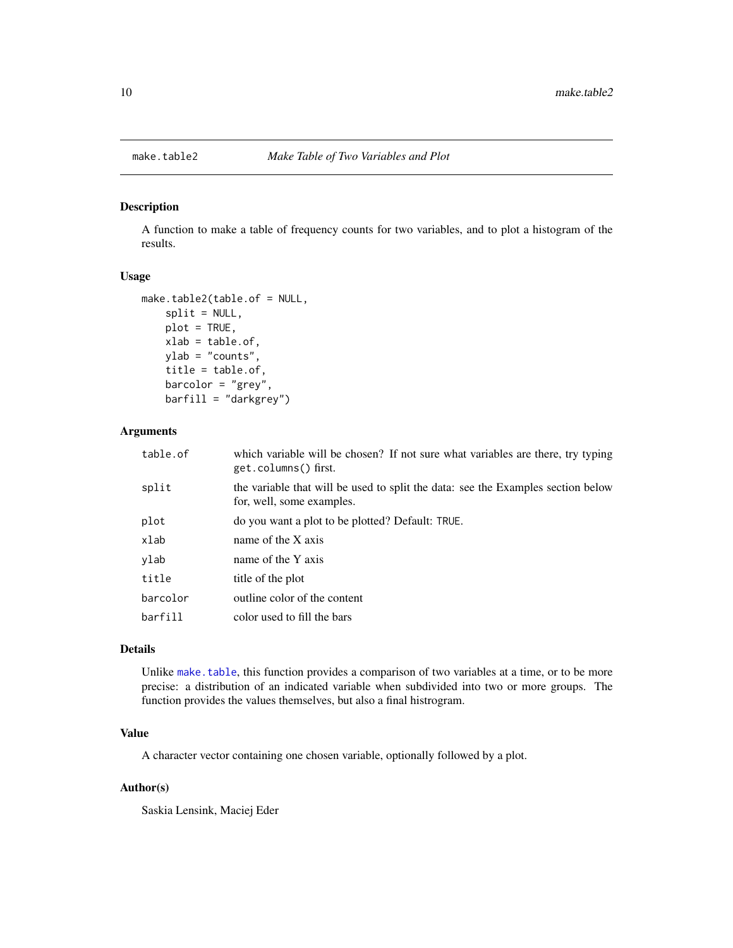<span id="page-9-1"></span><span id="page-9-0"></span>

#### Description

A function to make a table of frequency counts for two variables, and to plot a histogram of the results.

#### Usage

```
make.table2(table.of = NULL,
   split = NULL,plot = TRUE,
   xlab = table.of,
   ylab = "counts",
    title = table.of,
   barcolor = "grey",
   barfill = "darkgrey")
```
#### Arguments

| table.of | which variable will be chosen? If not sure what variables are there, try typing<br>get.columns() first.       |
|----------|---------------------------------------------------------------------------------------------------------------|
| split    | the variable that will be used to split the data: see the Examples section below<br>for, well, some examples. |
| plot     | do you want a plot to be plotted? Default: TRUE.                                                              |
| xlab     | name of the X axis                                                                                            |
| vlab     | name of the Y axis                                                                                            |
| title    | title of the plot                                                                                             |
| barcolor | outline color of the content                                                                                  |
| barfill  | color used to fill the bars                                                                                   |
|          |                                                                                                               |

#### Details

Unlike [make.table](#page-7-1), this function provides a comparison of two variables at a time, or to be more precise: a distribution of an indicated variable when subdivided into two or more groups. The function provides the values themselves, but also a final histrogram.

#### Value

A character vector containing one chosen variable, optionally followed by a plot.

#### Author(s)

Saskia Lensink, Maciej Eder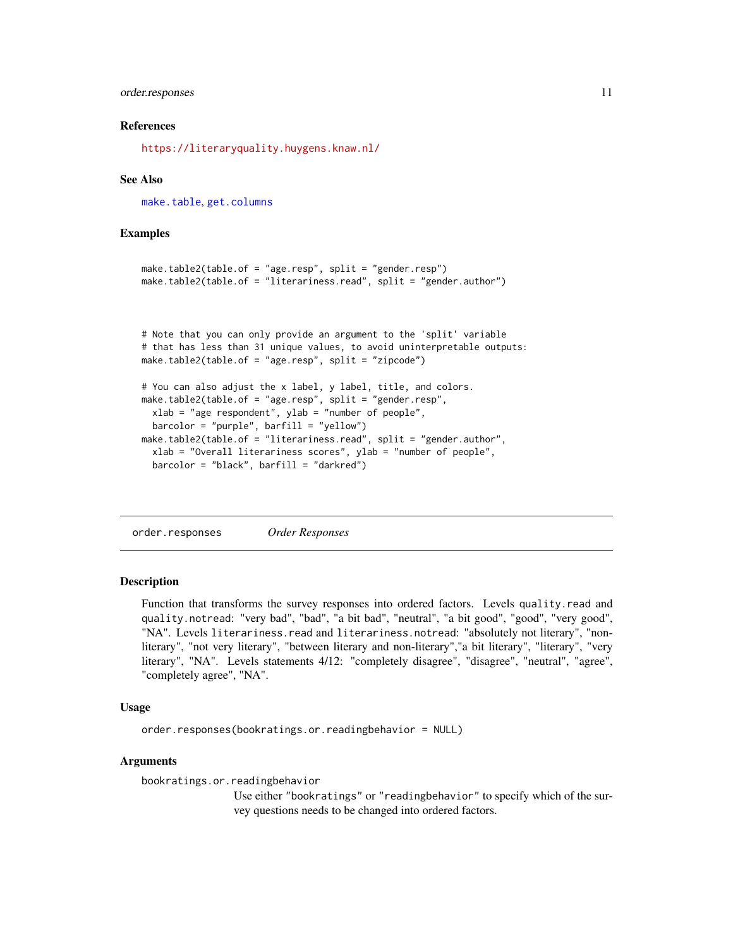#### <span id="page-10-0"></span>order.responses 11

#### References

<https://literaryquality.huygens.knaw.nl/>

#### See Also

[make.table](#page-7-1), [get.columns](#page-7-2)

#### Examples

```
make.table2(table.of = "age.resp", split = "gender.resp")
make.table2(table.of = "literariness.read", split = "gender.author")
```

```
# Note that you can only provide an argument to the 'split' variable
# that has less than 31 unique values, to avoid uninterpretable outputs:
make.table2(table.of = "age.resp", split = "zipcode")
# You can also adjust the x label, y label, title, and colors.
```

```
make.table2(table.of = "age.resp", split = "gender.resp",
  xlab = "age respondent", ylab = "number of people",
  barcolor = "purple", barfill = "yellow")
make.table2(table.of = "literariness.read", split = "gender.author",
  xlab = "Overall literariness scores", ylab = "number of people",
  barcolor = "black", barfill = "darkred")
```
order.responses *Order Responses*

#### **Description**

Function that transforms the survey responses into ordered factors. Levels quality.read and quality.notread: "very bad", "bad", "a bit bad", "neutral", "a bit good", "good", "very good", "NA". Levels literariness.read and literariness.notread: "absolutely not literary", "nonliterary", "not very literary", "between literary and non-literary","a bit literary", "literary", "very literary", "NA". Levels statements 4/12: "completely disagree", "disagree", "neutral", "agree", "completely agree", "NA".

#### Usage

order.responses(bookratings.or.readingbehavior = NULL)

#### Arguments

bookratings.or.readingbehavior

Use either "bookratings" or "readingbehavior" to specify which of the survey questions needs to be changed into ordered factors.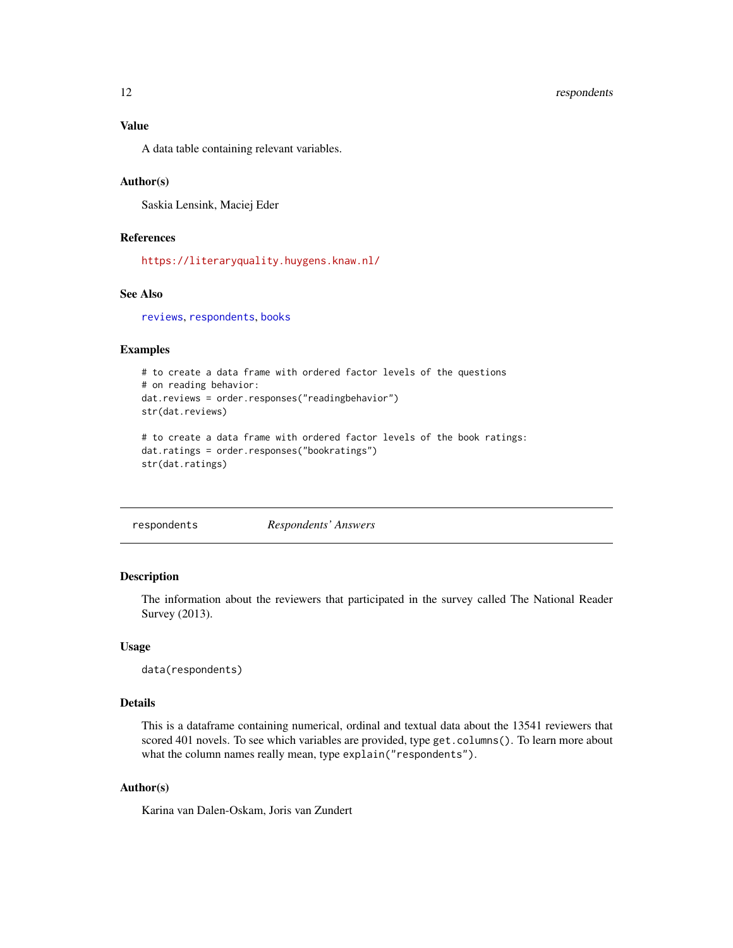<span id="page-11-0"></span>A data table containing relevant variables.

#### Author(s)

Saskia Lensink, Maciej Eder

#### References

<https://literaryquality.huygens.knaw.nl/>

#### See Also

[reviews](#page-12-1), [respondents](#page-11-1), [books](#page-2-1)

#### Examples

```
# to create a data frame with ordered factor levels of the questions
# on reading behavior:
dat.reviews = order.responses("readingbehavior")
str(dat.reviews)
# to create a data frame with ordered factor levels of the book ratings:
dat.ratings = order.responses("bookratings")
```

```
str(dat.ratings)
```
<span id="page-11-1"></span>

|  | respondents | Respondents' Answers |
|--|-------------|----------------------|
|--|-------------|----------------------|

#### Description

The information about the reviewers that participated in the survey called The National Reader Survey (2013).

#### Usage

data(respondents)

#### Details

This is a dataframe containing numerical, ordinal and textual data about the 13541 reviewers that scored 401 novels. To see which variables are provided, type get.columns(). To learn more about what the column names really mean, type explain("respondents").

#### Author(s)

Karina van Dalen-Oskam, Joris van Zundert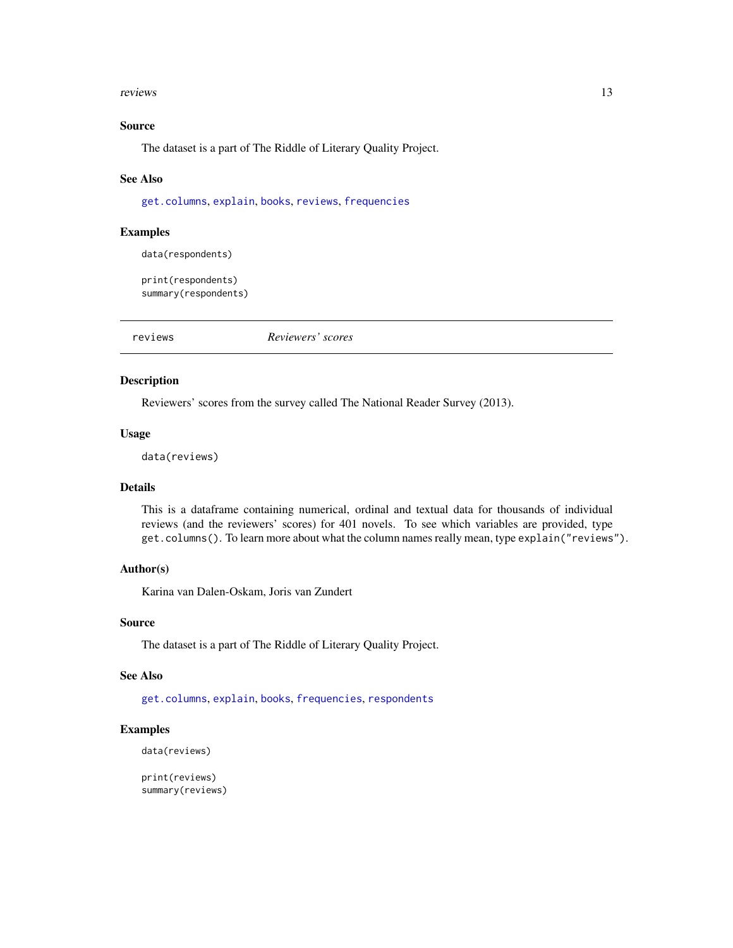#### <span id="page-12-0"></span>reviews 23

#### Source

The dataset is a part of The Riddle of Literary Quality Project.

#### See Also

[get.columns](#page-7-2), [explain](#page-4-1), [books](#page-2-1), [reviews](#page-12-1), [frequencies](#page-6-1)

#### Examples

```
data(respondents)
```
print(respondents) summary(respondents)

<span id="page-12-1"></span>reviews *Reviewers' scores*

#### Description

Reviewers' scores from the survey called The National Reader Survey (2013).

#### Usage

data(reviews)

#### Details

This is a dataframe containing numerical, ordinal and textual data for thousands of individual reviews (and the reviewers' scores) for 401 novels. To see which variables are provided, type get.columns(). To learn more about what the column names really mean, type explain("reviews").

#### Author(s)

Karina van Dalen-Oskam, Joris van Zundert

#### Source

The dataset is a part of The Riddle of Literary Quality Project.

#### See Also

[get.columns](#page-7-2), [explain](#page-4-1), [books](#page-2-1), [frequencies](#page-6-1), [respondents](#page-11-1)

#### Examples

data(reviews)

print(reviews) summary(reviews)